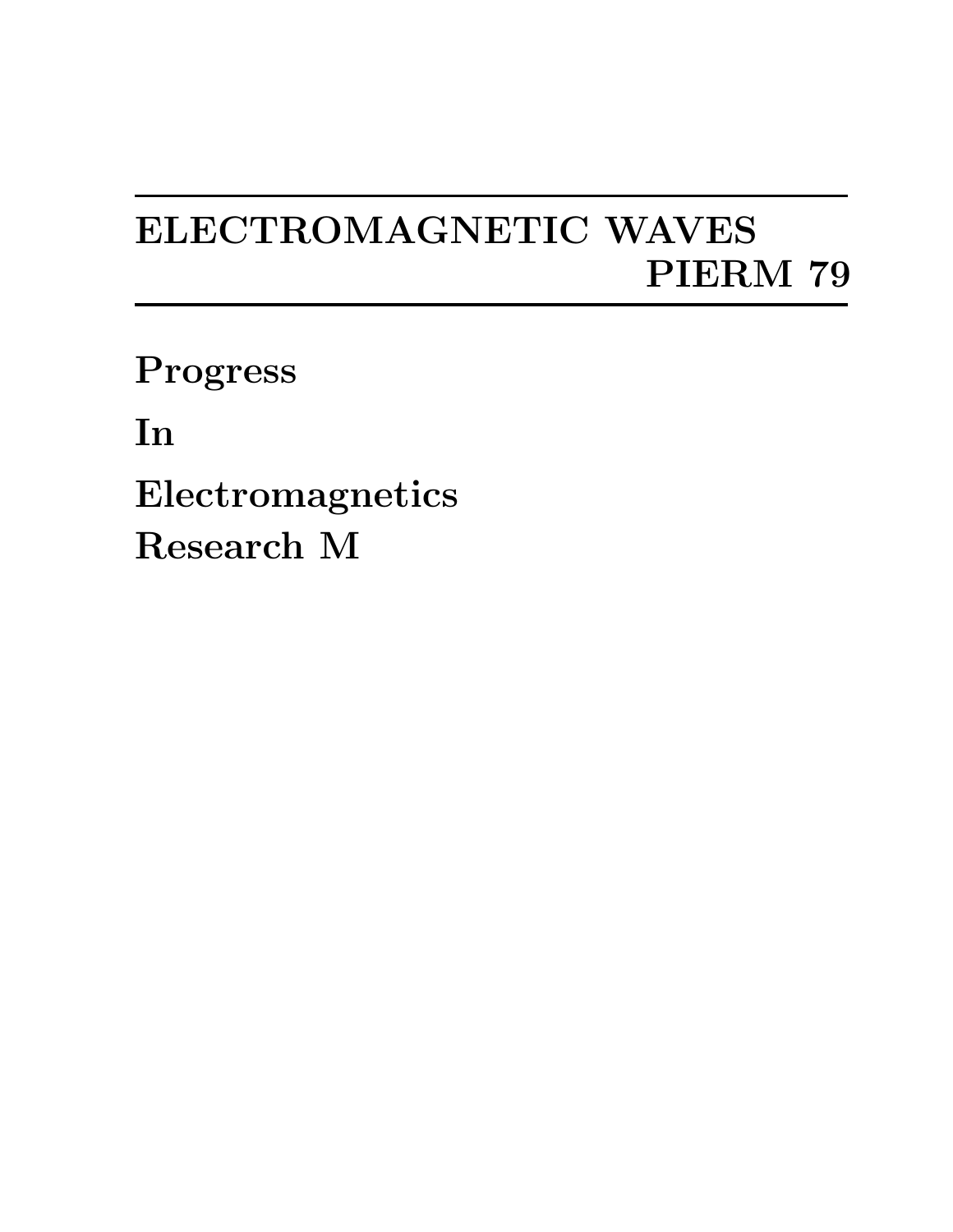## ELECTROMAGNETIC WAVES PIERM 79

Progress

In

Electromagnetics Research M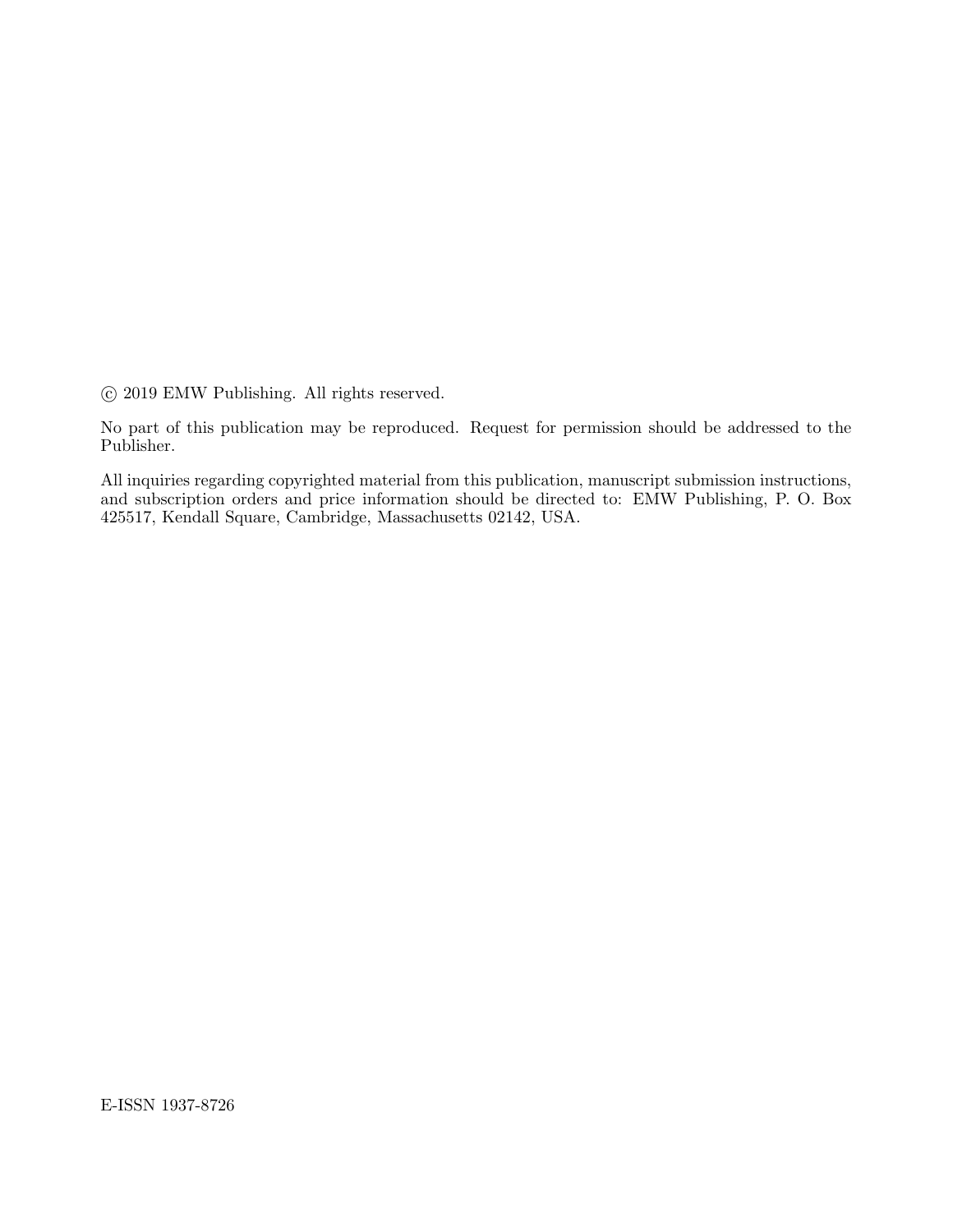°c 2019 EMW Publishing. All rights reserved.

No part of this publication may be reproduced. Request for permission should be addressed to the Publisher.

All inquiries regarding copyrighted material from this publication, manuscript submission instructions, and subscription orders and price information should be directed to: EMW Publishing, P. O. Box 425517, Kendall Square, Cambridge, Massachusetts 02142, USA.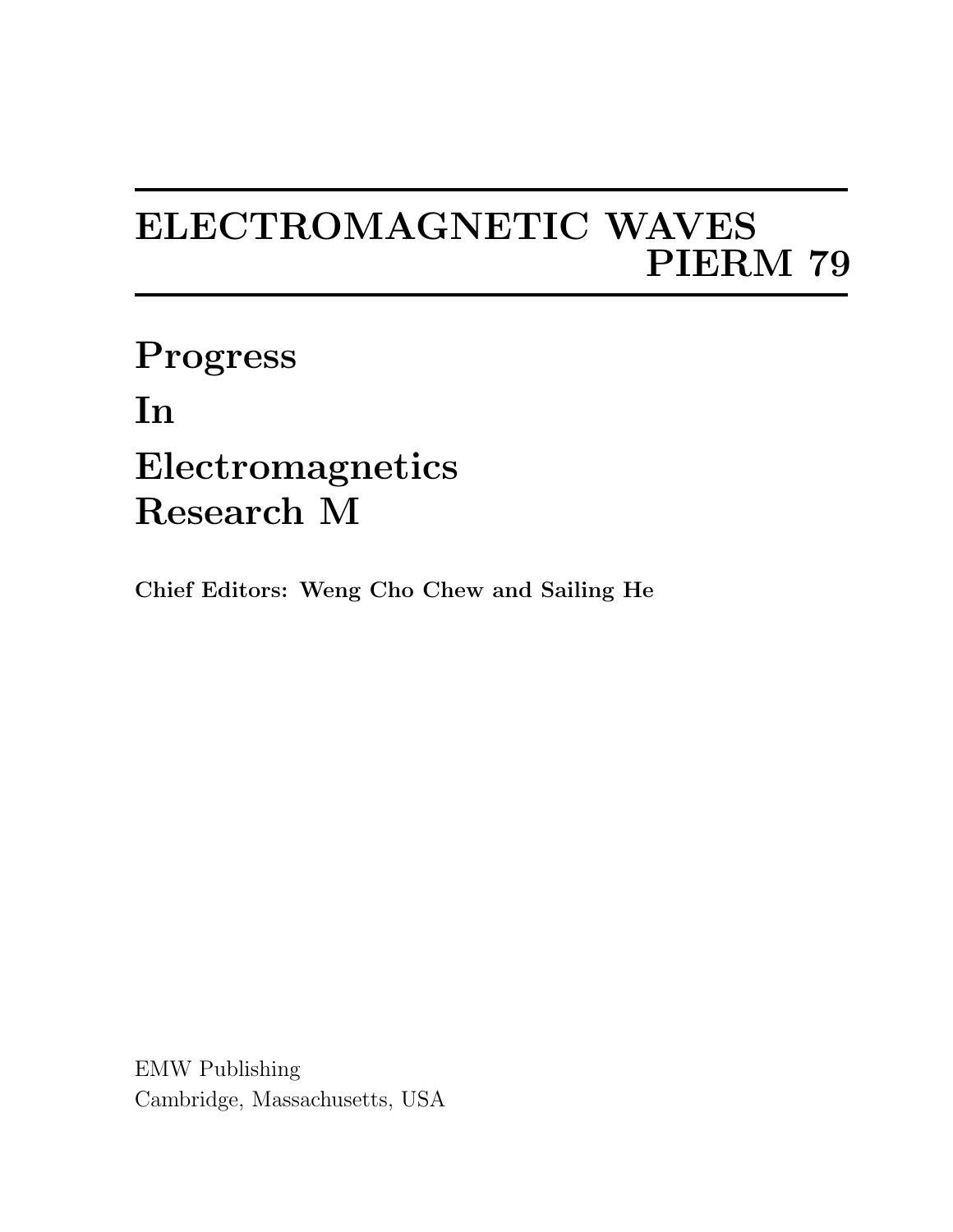## ELECTROMAGNETIC WAVES PIERM 79

Progress In Electromagnetics Research M

Chief Editors: Weng Cho Chew and Sailing He

EMW Publishing Cambridge, Massachusetts, USA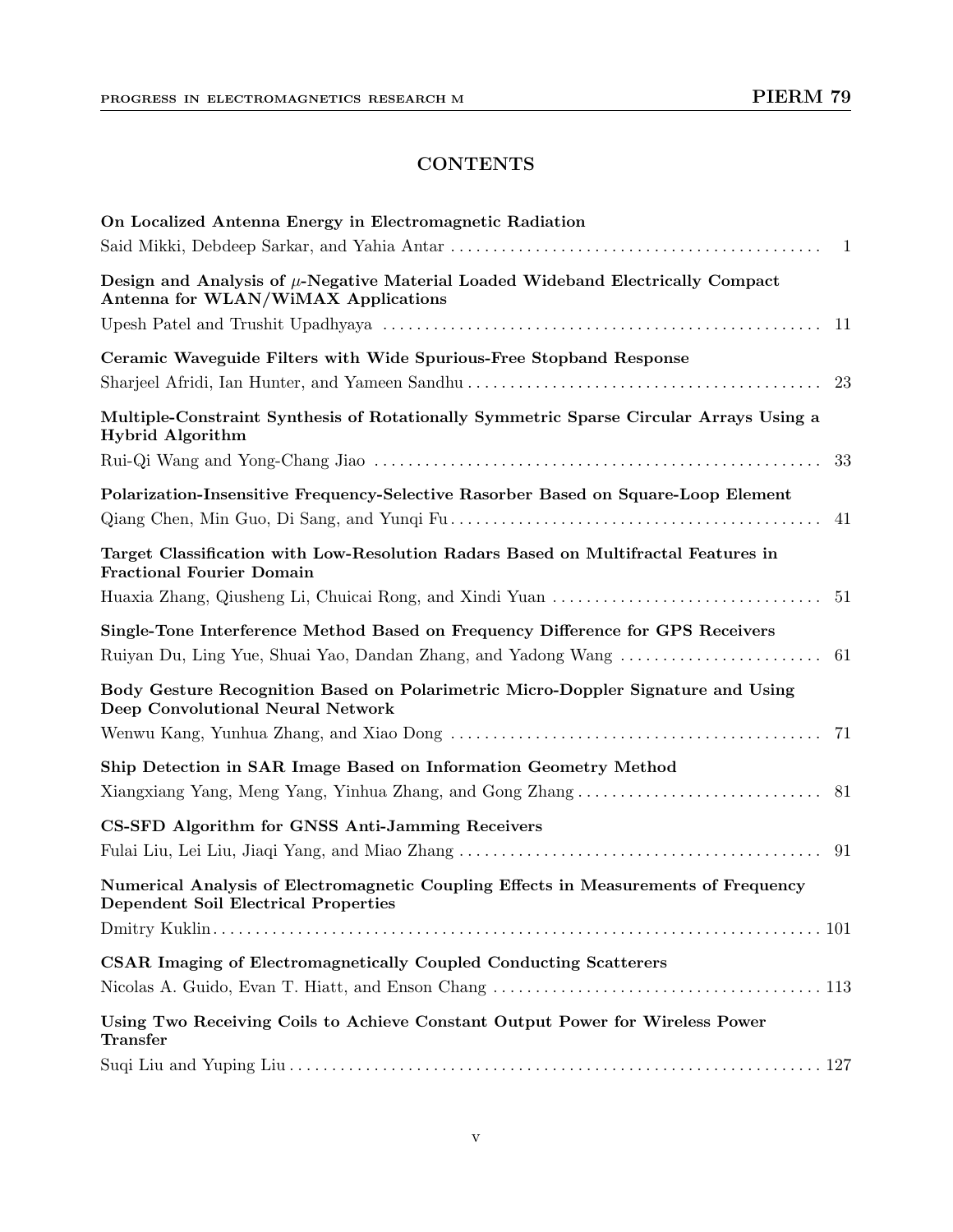## **CONTENTS**